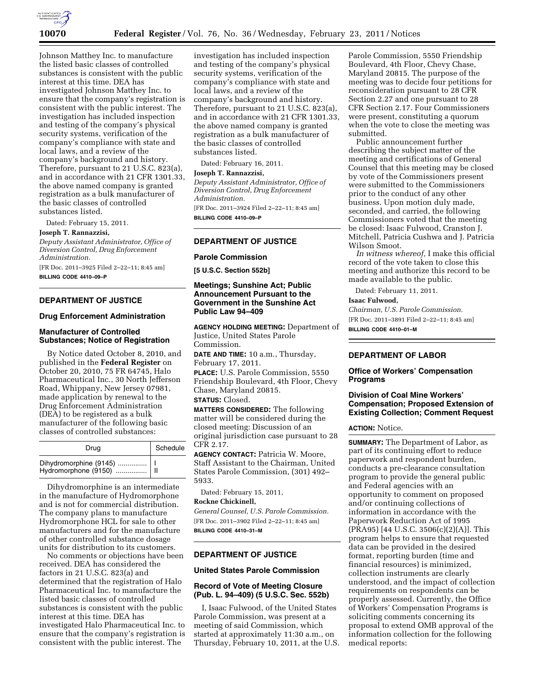

Johnson Matthey Inc. to manufacture the listed basic classes of controlled substances is consistent with the public interest at this time. DEA has investigated Johnson Matthey Inc. to ensure that the company's registration is consistent with the public interest. The investigation has included inspection and testing of the company's physical security systems, verification of the company's compliance with state and local laws, and a review of the company's background and history. Therefore, pursuant to 21 U.S.C. 823(a), and in accordance with 21 CFR 1301.33, the above named company is granted registration as a bulk manufacturer of the basic classes of controlled substances listed.

Dated: February 15, 2011.

#### **Joseph T. Rannazzisi,**

*Deputy Assistant Administrator, Office of Diversion Control, Drug Enforcement Administration.* 

[FR Doc. 2011–3925 Filed 2–22–11; 8:45 am] **BILLING CODE 4410–09–P** 

## **DEPARTMENT OF JUSTICE**

#### **Drug Enforcement Administration**

## **Manufacturer of Controlled Substances; Notice of Registration**

By Notice dated October 8, 2010, and published in the **Federal Register** on October 20, 2010, 75 FR 64745, Halo Pharmaceutical Inc., 30 North Jefferson Road, Whippany, New Jersey 07981, made application by renewal to the Drug Enforcement Administration (DEA) to be registered as a bulk manufacturer of the following basic classes of controlled substances:

| Drug                                                      | Schedule |  |
|-----------------------------------------------------------|----------|--|
| Dihydromorphine (9145)    I<br>Hydromorphone (9150)    II |          |  |

Dihydromorphine is an intermediate in the manufacture of Hydromorphone and is not for commercial distribution. The company plans to manufacture Hydromorphone HCL for sale to other manufacturers and for the manufacture of other controlled substance dosage units for distribution to its customers.

No comments or objections have been received. DEA has considered the factors in 21 U.S.C. 823(a) and determined that the registration of Halo Pharmaceutical Inc. to manufacture the listed basic classes of controlled substances is consistent with the public interest at this time. DEA has investigated Halo Pharmaceutical Inc. to ensure that the company's registration is consistent with the public interest. The

investigation has included inspection and testing of the company's physical security systems, verification of the company's compliance with state and local laws, and a review of the company's background and history. Therefore, pursuant to 21 U.S.C. 823(a), and in accordance with 21 CFR 1301.33, the above named company is granted registration as a bulk manufacturer of the basic classes of controlled substances listed.

Dated: February 16, 2011.

### **Joseph T. Rannazzisi,**

*Deputy Assistant Administrator, Office of Diversion Control, Drug Enforcement Administration.* 

[FR Doc. 2011–3924 Filed 2–22–11; 8:45 am] **BILLING CODE 4410–09–P** 

## **DEPARTMENT OF JUSTICE**

#### **Parole Commission**

**[5 U.S.C. Section 552b]** 

## **Meetings; Sunshine Act; Public Announcement Pursuant to the Government in the Sunshine Act Public Law 94–409**

**AGENCY HOLDING MEETING:** Department of Justice, United States Parole Commission.

**DATE AND TIME:** 10 a.m., Thursday, February 17, 2011. **PLACE:** U.S. Parole Commission, 5550

Friendship Boulevard, 4th Floor, Chevy Chase, Maryland 20815. **STATUS:** Closed.

**MATTERS CONSIDERED:** The following matter will be considered during the closed meeting: Discussion of an original jurisdiction case pursuant to 28 CFR 2.17.

**AGENCY CONTACT:** Patricia W. Moore, Staff Assistant to the Chairman, United States Parole Commission, (301) 492– 5933.

Dated: February 15, 2011,

**Rockne Chickinell,** 

*General Counsel, U.S. Parole Commission.*  [FR Doc. 2011–3902 Filed 2–22–11; 8:45 am] **BILLING CODE 4410–31–M** 

# **DEPARTMENT OF JUSTICE**

# **United States Parole Commission**

## **Record of Vote of Meeting Closure (Pub. L. 94–409) (5 U.S.C. Sec. 552b)**

I, Isaac Fulwood, of the United States Parole Commission, was present at a meeting of said Commission, which started at approximately 11:30 a.m., on Thursday, February 10, 2011, at the U.S.

Parole Commission, 5550 Friendship Boulevard, 4th Floor, Chevy Chase, Maryland 20815. The purpose of the meeting was to decide four petitions for reconsideration pursuant to 28 CFR Section 2.27 and one pursuant to 28 CFR Section 2.17. Four Commissioners were present, constituting a quorum when the vote to close the meeting was submitted.

Public announcement further describing the subject matter of the meeting and certifications of General Counsel that this meeting may be closed by vote of the Commissioners present were submitted to the Commissioners prior to the conduct of any other business. Upon motion duly made, seconded, and carried, the following Commissioners voted that the meeting be closed: Isaac Fulwood, Cranston J. Mitchell, Patricia Cushwa and J. Patricia Wilson Smoot.

*In witness whereof,* I make this official record of the vote taken to close this meeting and authorize this record to be made available to the public.

Dated: February 11, 2011.

### **Isaac Fulwood,**

*Chairman, U.S. Parole Commission.*  [FR Doc. 2011–3891 Filed 2–22–11; 8:45 am] **BILLING CODE 4410–01–M** 

# **DEPARTMENT OF LABOR**

## **Office of Workers' Compensation Programs**

## **Division of Coal Mine Workers' Compensation; Proposed Extension of Existing Collection; Comment Request**

### **ACTION:** Notice.

**SUMMARY:** The Department of Labor, as part of its continuing effort to reduce paperwork and respondent burden, conducts a pre-clearance consultation program to provide the general public and Federal agencies with an opportunity to comment on proposed and/or continuing collections of information in accordance with the Paperwork Reduction Act of 1995 (PRA95) [44 U.S.C. 3506(c)(2)(A)]. This program helps to ensure that requested data can be provided in the desired format, reporting burden (time and financial resources) is minimized, collection instruments are clearly understood, and the impact of collection requirements on respondents can be properly assessed. Currently, the Office of Workers' Compensation Programs is soliciting comments concerning its proposal to extend OMB approval of the information collection for the following medical reports: